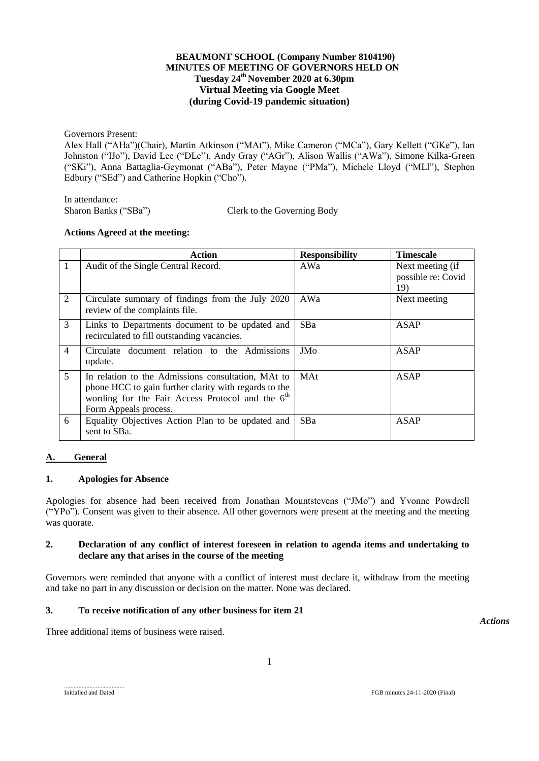### **BEAUMONT SCHOOL (Company Number 8104190) MINUTES OF MEETING OF GOVERNORS HELD ON Tuesday 24 th November 2020 at 6.30pm Virtual Meeting via Google Meet (during Covid-19 pandemic situation)**

Governors Present:

Alex Hall ("AHa")(Chair), Martin Atkinson ("MAt"), Mike Cameron ("MCa"), Gary Kellett ("GKe"), Ian Johnston ("IJo"), David Lee ("DLe"), Andy Gray ("AGr"), Alison Wallis ("AWa"), Simone Kilka-Green ("SKi"), Anna Battaglia-Geymonat ("ABa"), Peter Mayne ("PMa"), Michele Lloyd ("MLl"), Stephen Edbury ("SEd") and Catherine Hopkin ("Cho").

In attendance:

Sharon Banks ("SBa") Clerk to the Governing Body

#### **Actions Agreed at the meeting:**

|                | Action                                                                                                                                                                                               | <b>Responsibility</b> | <b>Timescale</b>                              |
|----------------|------------------------------------------------------------------------------------------------------------------------------------------------------------------------------------------------------|-----------------------|-----------------------------------------------|
| $\mathbf{1}$   | Audit of the Single Central Record.                                                                                                                                                                  | AWa                   | Next meeting (if<br>possible re: Covid<br>19) |
| 2              | Circulate summary of findings from the July 2020<br>review of the complaints file.                                                                                                                   | AWa                   | Next meeting                                  |
| 3              | Links to Departments document to be updated and<br>recirculated to fill outstanding vacancies.                                                                                                       | SB <sub>a</sub>       | ASAP                                          |
| $\overline{4}$ | Circulate document relation to the Admissions<br>update.                                                                                                                                             | JMo                   | ASAP                                          |
| 5              | In relation to the Admissions consultation, MAt to<br>phone HCC to gain further clarity with regards to the<br>wording for the Fair Access Protocol and the 6 <sup>th</sup><br>Form Appeals process. | MAt                   | <b>ASAP</b>                                   |
| 6              | Equality Objectives Action Plan to be updated and<br>sent to SBa.                                                                                                                                    | SBa                   | ASAP                                          |

### **A. General**

### **1. Apologies for Absence**

Apologies for absence had been received from Jonathan Mountstevens ("JMo") and Yvonne Powdrell ("YPo"). Consent was given to their absence. All other governors were present at the meeting and the meeting was quorate.

#### **2. Declaration of any conflict of interest foreseen in relation to agenda items and undertaking to declare any that arises in the course of the meeting**

Governors were reminded that anyone with a conflict of interest must declare it, withdraw from the meeting and take no part in any discussion or decision on the matter. None was declared.

### **3. To receive notification of any other business for item 21**

Three additional items of business were raised.

*Actions*

1

......................................

Initialled and Dated FGB minutes 24-11-2020 (Final)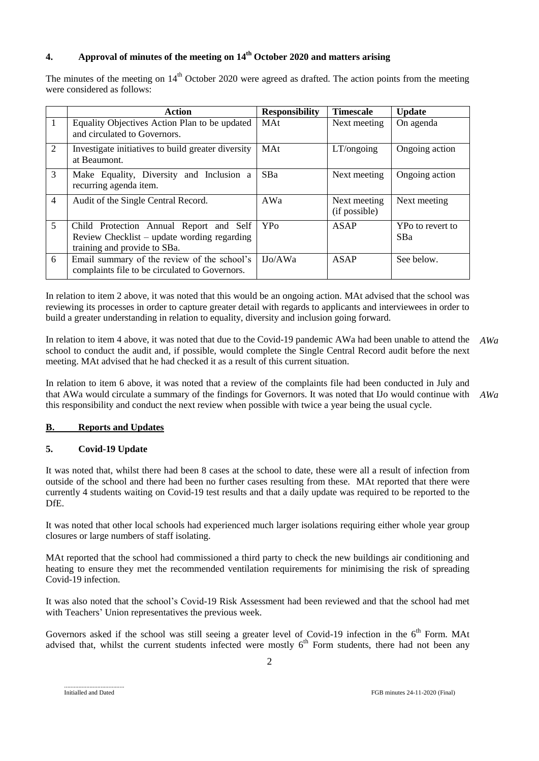# **4. Approval of minutes of the meeting on 14th October 2020 and matters arising**

The minutes of the meeting on 14<sup>th</sup> October 2020 were agreed as drafted. The action points from the meeting were considered as follows:

|                | Action                                                                                                                 | <b>Responsibility</b> | <b>Timescale</b>              | <b>Update</b>                  |
|----------------|------------------------------------------------------------------------------------------------------------------------|-----------------------|-------------------------------|--------------------------------|
| $\mathbf{1}$   | Equality Objectives Action Plan to be updated<br>and circulated to Governors.                                          | <b>MAt</b>            | Next meeting                  | On agenda                      |
| 2              | Investigate initiatives to build greater diversity<br>at Beaumont.                                                     | <b>MAt</b>            | LT/ongoing                    | Ongoing action                 |
| 3              | Make Equality, Diversity and Inclusion a<br>recurring agenda item.                                                     | SB <sub>a</sub>       | Next meeting                  | Ongoing action                 |
| $\overline{4}$ | Audit of the Single Central Record.                                                                                    | AWa                   | Next meeting<br>(if possible) | Next meeting                   |
| 5              | Child Protection Annual Report and Self<br>Review Checklist – update wording regarding<br>training and provide to SBa. | YP <sub>0</sub>       | ASAP                          | YPo to revert to<br><b>SBa</b> |
| 6              | Email summary of the review of the school's<br>complaints file to be circulated to Governors.                          | IJo/AWa               | ASAP                          | See below.                     |

In relation to item 2 above, it was noted that this would be an ongoing action. MAt advised that the school was reviewing its processes in order to capture greater detail with regards to applicants and interviewees in order to build a greater understanding in relation to equality, diversity and inclusion going forward.

In relation to item 4 above, it was noted that due to the Covid-19 pandemic AWa had been unable to attend the school to conduct the audit and, if possible, would complete the Single Central Record audit before the next meeting. MAt advised that he had checked it as a result of this current situation. *AWa*

In relation to item 6 above, it was noted that a review of the complaints file had been conducted in July and that AWa would circulate a summary of the findings for Governors. It was noted that IJo would continue with this responsibility and conduct the next review when possible with twice a year being the usual cycle. *AWa*

### **B. Reports and Updates**

### **5. Covid-19 Update**

It was noted that, whilst there had been 8 cases at the school to date, these were all a result of infection from outside of the school and there had been no further cases resulting from these. MAt reported that there were currently 4 students waiting on Covid-19 test results and that a daily update was required to be reported to the DfE.

It was noted that other local schools had experienced much larger isolations requiring either whole year group closures or large numbers of staff isolating.

MAt reported that the school had commissioned a third party to check the new buildings air conditioning and heating to ensure they met the recommended ventilation requirements for minimising the risk of spreading Covid-19 infection.

It was also noted that the school's Covid-19 Risk Assessment had been reviewed and that the school had met with Teachers' Union representatives the previous week.

Governors asked if the school was still seeing a greater level of Covid-19 infection in the 6<sup>th</sup> Form. MAt advised that, whilst the current students infected were mostly 6<sup>th</sup> Form students, there had not been any

Initialled and Dated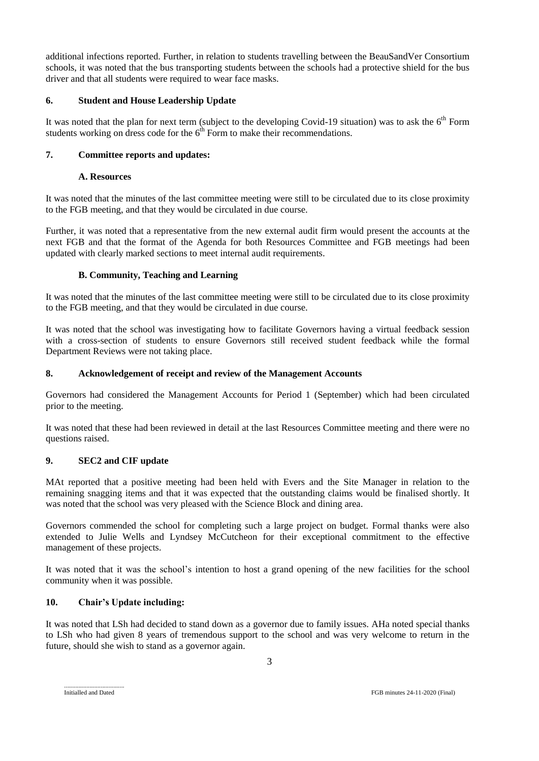additional infections reported. Further, in relation to students travelling between the BeauSandVer Consortium schools, it was noted that the bus transporting students between the schools had a protective shield for the bus driver and that all students were required to wear face masks.

## **6. Student and House Leadership Update**

It was noted that the plan for next term (subject to the developing Covid-19 situation) was to ask the  $6<sup>th</sup>$  Form students working on dress code for the  $6<sup>th</sup>$  Form to make their recommendations.

# **7. Committee reports and updates:**

### **A. Resources**

It was noted that the minutes of the last committee meeting were still to be circulated due to its close proximity to the FGB meeting, and that they would be circulated in due course.

Further, it was noted that a representative from the new external audit firm would present the accounts at the next FGB and that the format of the Agenda for both Resources Committee and FGB meetings had been updated with clearly marked sections to meet internal audit requirements.

### **B. Community, Teaching and Learning**

It was noted that the minutes of the last committee meeting were still to be circulated due to its close proximity to the FGB meeting, and that they would be circulated in due course.

It was noted that the school was investigating how to facilitate Governors having a virtual feedback session with a cross-section of students to ensure Governors still received student feedback while the formal Department Reviews were not taking place.

### **8. Acknowledgement of receipt and review of the Management Accounts**

Governors had considered the Management Accounts for Period 1 (September) which had been circulated prior to the meeting.

It was noted that these had been reviewed in detail at the last Resources Committee meeting and there were no questions raised.

## **9. SEC2 and CIF update**

MAt reported that a positive meeting had been held with Evers and the Site Manager in relation to the remaining snagging items and that it was expected that the outstanding claims would be finalised shortly. It was noted that the school was very pleased with the Science Block and dining area.

Governors commended the school for completing such a large project on budget. Formal thanks were also extended to Julie Wells and Lyndsey McCutcheon for their exceptional commitment to the effective management of these projects.

It was noted that it was the school's intention to host a grand opening of the new facilities for the school community when it was possible.

### **10. Chair's Update including:**

It was noted that LSh had decided to stand down as a governor due to family issues. AHa noted special thanks to LSh who had given 8 years of tremendous support to the school and was very welcome to return in the future, should she wish to stand as a governor again.

......................................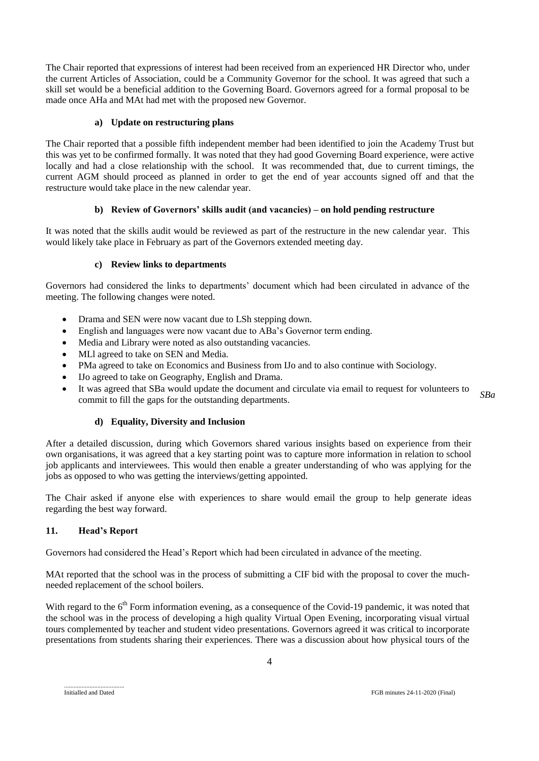The Chair reported that expressions of interest had been received from an experienced HR Director who, under the current Articles of Association, could be a Community Governor for the school. It was agreed that such a skill set would be a beneficial addition to the Governing Board. Governors agreed for a formal proposal to be made once AHa and MAt had met with the proposed new Governor.

### **a) Update on restructuring plans**

The Chair reported that a possible fifth independent member had been identified to join the Academy Trust but this was yet to be confirmed formally. It was noted that they had good Governing Board experience, were active locally and had a close relationship with the school. It was recommended that, due to current timings, the current AGM should proceed as planned in order to get the end of year accounts signed off and that the restructure would take place in the new calendar year.

### **b) Review of Governors' skills audit (and vacancies) – on hold pending restructure**

It was noted that the skills audit would be reviewed as part of the restructure in the new calendar year. This would likely take place in February as part of the Governors extended meeting day.

#### **c) Review links to departments**

Governors had considered the links to departments' document which had been circulated in advance of the meeting. The following changes were noted.

- Drama and SEN were now vacant due to LSh stepping down.
- English and languages were now vacant due to ABa's Governor term ending.
- Media and Library were noted as also outstanding vacancies.
- MLl agreed to take on SEN and Media.
- PMa agreed to take on Economics and Business from IJo and to also continue with Sociology.
- IJo agreed to take on Geography, English and Drama.
- It was agreed that SBa would update the document and circulate via email to request for volunteers to commit to fill the gaps for the outstanding departments. *SBa*

#### **d) Equality, Diversity and Inclusion**

After a detailed discussion, during which Governors shared various insights based on experience from their own organisations, it was agreed that a key starting point was to capture more information in relation to school job applicants and interviewees. This would then enable a greater understanding of who was applying for the jobs as opposed to who was getting the interviews/getting appointed.

The Chair asked if anyone else with experiences to share would email the group to help generate ideas regarding the best way forward.

### **11. Head's Report**

Governors had considered the Head's Report which had been circulated in advance of the meeting.

MAt reported that the school was in the process of submitting a CIF bid with the proposal to cover the muchneeded replacement of the school boilers.

With regard to the  $6<sup>th</sup>$  Form information evening, as a consequence of the Covid-19 pandemic, it was noted that the school was in the process of developing a high quality Virtual Open Evening, incorporating visual virtual tours complemented by teacher and student video presentations. Governors agreed it was critical to incorporate presentations from students sharing their experiences. There was a discussion about how physical tours of the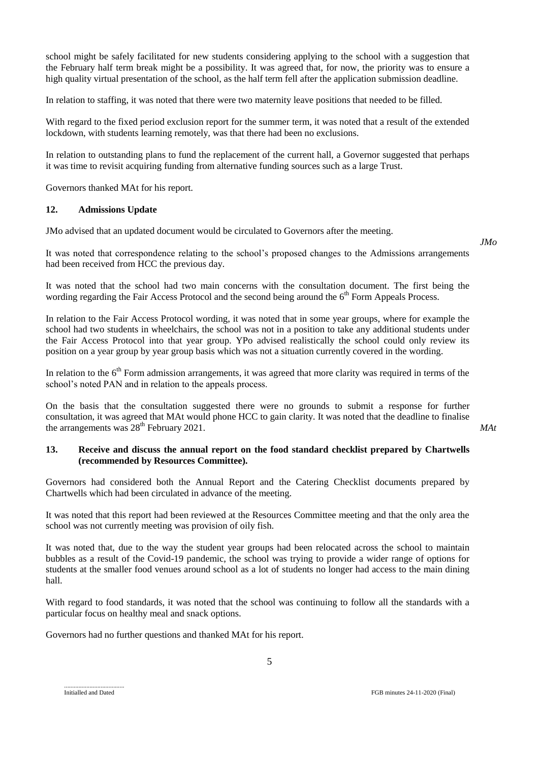school might be safely facilitated for new students considering applying to the school with a suggestion that the February half term break might be a possibility. It was agreed that, for now, the priority was to ensure a high quality virtual presentation of the school, as the half term fell after the application submission deadline.

In relation to staffing, it was noted that there were two maternity leave positions that needed to be filled.

With regard to the fixed period exclusion report for the summer term, it was noted that a result of the extended lockdown, with students learning remotely, was that there had been no exclusions.

In relation to outstanding plans to fund the replacement of the current hall, a Governor suggested that perhaps it was time to revisit acquiring funding from alternative funding sources such as a large Trust.

Governors thanked MAt for his report.

#### **12. Admissions Update**

JMo advised that an updated document would be circulated to Governors after the meeting.

It was noted that correspondence relating to the school's proposed changes to the Admissions arrangements had been received from HCC the previous day.

It was noted that the school had two main concerns with the consultation document. The first being the wording regarding the Fair Access Protocol and the second being around the 6<sup>th</sup> Form Appeals Process.

In relation to the Fair Access Protocol wording, it was noted that in some year groups, where for example the school had two students in wheelchairs, the school was not in a position to take any additional students under the Fair Access Protocol into that year group. YPo advised realistically the school could only review its position on a year group by year group basis which was not a situation currently covered in the wording.

In relation to the  $6<sup>th</sup>$  Form admission arrangements, it was agreed that more clarity was required in terms of the school's noted PAN and in relation to the appeals process.

On the basis that the consultation suggested there were no grounds to submit a response for further consultation, it was agreed that MAt would phone HCC to gain clarity. It was noted that the deadline to finalise the arrangements was  $28<sup>th</sup>$  February 2021.

*MAt*

### **13. Receive and discuss the annual report on the food standard checklist prepared by Chartwells (recommended by Resources Committee).**

Governors had considered both the Annual Report and the Catering Checklist documents prepared by Chartwells which had been circulated in advance of the meeting.

It was noted that this report had been reviewed at the Resources Committee meeting and that the only area the school was not currently meeting was provision of oily fish.

It was noted that, due to the way the student year groups had been relocated across the school to maintain bubbles as a result of the Covid-19 pandemic, the school was trying to provide a wider range of options for students at the smaller food venues around school as a lot of students no longer had access to the main dining hall.

With regard to food standards, it was noted that the school was continuing to follow all the standards with a particular focus on healthy meal and snack options.

Governors had no further questions and thanked MAt for his report.

......................................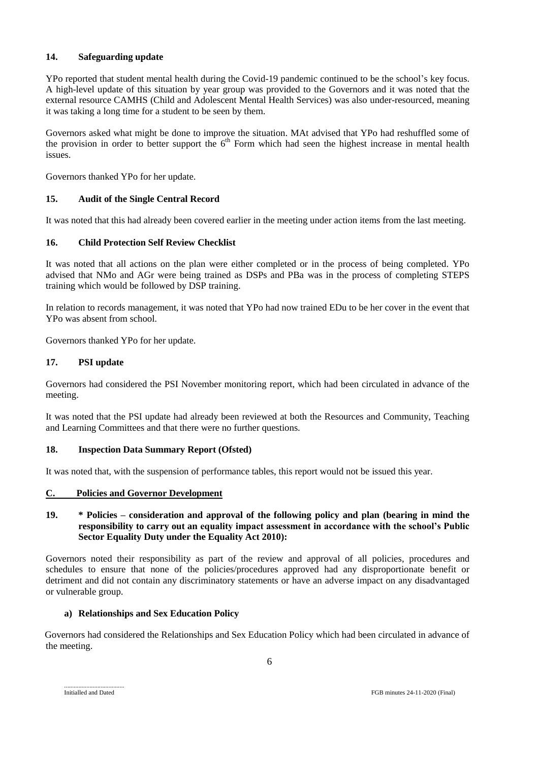## **14. Safeguarding update**

YPo reported that student mental health during the Covid-19 pandemic continued to be the school's key focus. A high-level update of this situation by year group was provided to the Governors and it was noted that the external resource CAMHS (Child and Adolescent Mental Health Services) was also under-resourced, meaning it was taking a long time for a student to be seen by them.

Governors asked what might be done to improve the situation. MAt advised that YPo had reshuffled some of the provision in order to better support the  $6<sup>th</sup>$  Form which had seen the highest increase in mental health issues.

Governors thanked YPo for her update.

# **15. Audit of the Single Central Record**

It was noted that this had already been covered earlier in the meeting under action items from the last meeting.

# **16. Child Protection Self Review Checklist**

It was noted that all actions on the plan were either completed or in the process of being completed. YPo advised that NMo and AGr were being trained as DSPs and PBa was in the process of completing STEPS training which would be followed by DSP training.

In relation to records management, it was noted that YPo had now trained EDu to be her cover in the event that YPo was absent from school.

Governors thanked YPo for her update.

# **17. PSI update**

Governors had considered the PSI November monitoring report, which had been circulated in advance of the meeting.

It was noted that the PSI update had already been reviewed at both the Resources and Community, Teaching and Learning Committees and that there were no further questions.

# **18. Inspection Data Summary Report (Ofsted)**

It was noted that, with the suspension of performance tables, this report would not be issued this year.

### **C. Policies and Governor Development**

### **19. \* Policies – consideration and approval of the following policy and plan (bearing in mind the responsibility to carry out an equality impact assessment in accordance with the school's Public Sector Equality Duty under the Equality Act 2010):**

Governors noted their responsibility as part of the review and approval of all policies, procedures and schedules to ensure that none of the policies/procedures approved had any disproportionate benefit or detriment and did not contain any discriminatory statements or have an adverse impact on any disadvantaged or vulnerable group.

### **a) Relationships and Sex Education Policy**

Governors had considered the Relationships and Sex Education Policy which had been circulated in advance of the meeting.

......................................